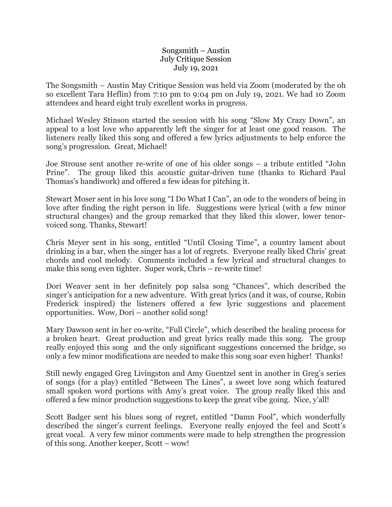## Songsmith – Austin July Critique Session July 19, 2021

The Songsmith – Austin May Critique Session was held via Zoom (moderated by the oh so excellent Tara Heflin) from 7:10 pm to 9:04 pm on July 19, 2021. We had 10 Zoom attendees and heard eight truly excellent works in progress.

Michael Wesley Stinson started the session with his song "Slow My Crazy Down", an appeal to a lost love who apparently left the singer for at least one good reason. The listeners really liked this song and offered a few lyrics adjustments to help enforce the song's progression. Great, Michael!

Joe Strouse sent another re-write of one of his older songs – a tribute entitled "John Prine". The group liked this acoustic guitar-driven tune (thanks to Richard Paul Thomas's handiwork) and offered a few ideas for pitching it.

Stewart Moser sent in his love song "I Do What I Can", an ode to the wonders of being in love after finding the right person in life. Suggestions were lyrical (with a few minor structural changes) and the group remarked that they liked this slower, lower tenorvoiced song. Thanks, Stewart!

Chris Meyer sent in his song, entitled "Until Closing Time", a country lament about drinking in a bar, when the singer has a lot of regrets. Everyone really liked Chris' great chords and cool melody. Comments included a few lyrical and structural changes to make this song even tighter. Super work, Chris – re-write time!

Dori Weaver sent in her definitely pop salsa song "Chances", which described the singer's anticipation for a new adventure. With great lyrics (and it was, of course, Robin Frederick inspired) the listeners offered a few lyric suggestions and placement opportunities. Wow, Dori – another solid song!

Mary Dawson sent in her co-write, "Full Circle", which described the healing process for a broken heart. Great production and great lyrics really made this song. The group really enjoyed this song and the only significant suggestions concerned the bridge, so only a few minor modifications are needed to make this song soar even higher! Thanks!

Still newly engaged Greg Livingston and Amy Guentzel sent in another in Greg's series of songs (for a play) entitled "Between The Lines", a sweet love song which featured small spoken word portions with Amy's great voice. The group really liked this and offered a few minor production suggestions to keep the great vibe going. Nice, y'all!

Scott Badger sent his blues song of regret, entitled "Damn Fool", which wonderfully described the singer's current feelings. Everyone really enjoyed the feel and Scott's great vocal. A very few minor comments were made to help strengthen the progression of this song. Another keeper, Scott – wow!